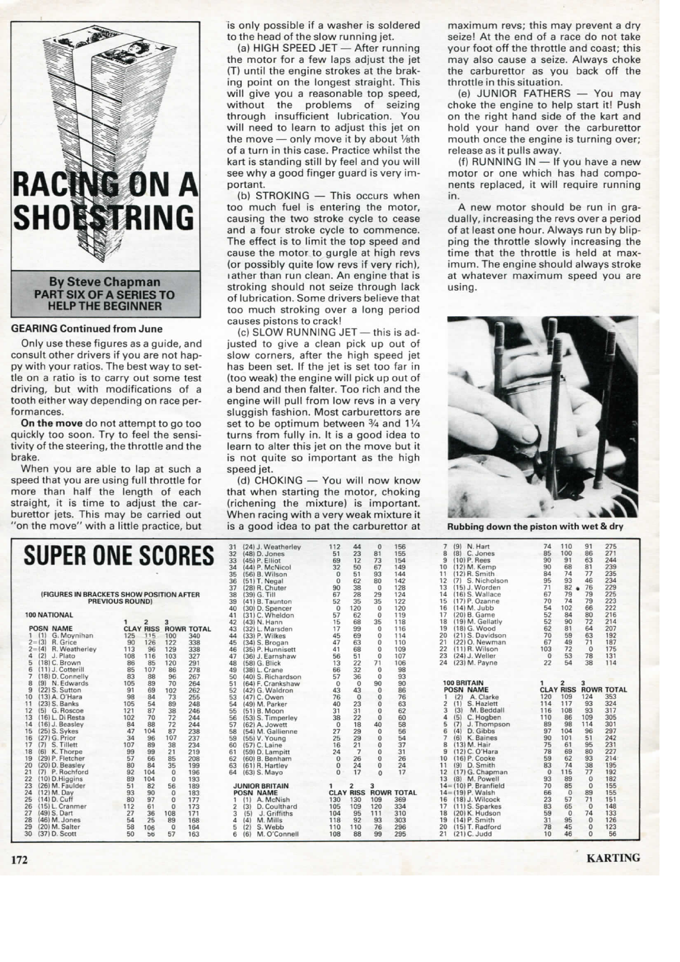

## **GEARING Continued from June**

Only use these figures as a guide, and consult other drivers if you are not happy with your ratios. The best way to settle on a ratio is to carry out some test driving, but with modifications of a tooth either way depending on race performances

On the move do not attempt to go too quickly too soon. Try to feel the sensitivity of the steering, the throttle and the brake.

When you are able to lap at such a speed that you are using full throttle for more than half the length of each straight, it is time to adjust the carburettor jets. This may be carried out "on the move" with a little practice, but is only possible if a washer is soldered to the head of the slow running jet.

(a) HIGH SPEED JET - After running the motor for a few laps adjust the jet (T) until the engine strokes at the braking point on the longest straight. This will give you a reasonable top speed, without the problems of seizing through insufficient lubrication. You will need to learn to adjust this jet on the move - only move it by about 1/sth of a turn in this case. Practice whilst the kart is standing still by feel and you will see why a good finger guard is very important.

(b) STROKING - This occurs when too much fuel is entering the motor, causing the two stroke cycle to cease and a four stroke cycle to commence. The effect is to limit the top speed and cause the motor to gurgle at high revs (or possibly quite low revs if very rich), rather than run clean. An engine that is stroking should not seize through lack of lubrication. Some drivers believe that too much stroking over a long period causes pistons to crack!

(c) SLOW RUNNING JET - this is adjusted to give a clean pick up out of slow corners, after the high speed jet has been set. If the jet is set too far in (too weak) the engine will pick up out of a bend and then falter. Too rich and the engine will pull from low revs in a very sluggish fashion. Most carburettors are set to be optimum between 3/4 and 11/4 turns from fully in. It is a good idea to learn to alter this jet on the move but it is not quite so important as the high speed jet.

(d) CHOKING - You will now know that when starting the motor, choking (richening the mixture) is important. When racing with a very weak mixture it is a good idea to pat the carburettor at

maximum revs; this may prevent a dry seize! At the end of a race do not take your foot off the throttle and coast; this may also cause a seize. Always choke the carburettor as you back off the throttle in this situation.

(e) JUNIOR FATHERS - You may choke the engine to help start it! Push on the right hand side of the kart and hold your hand over the carburettor mouth once the engine is turning over; release as it pulls away.

(f) RUNNING IN - If you have a new motor or one which has had components replaced, it will require running

A new motor should be run in gradually, increasing the revs over a period of at least one hour. Always run by blipping the throttle slowly increasing the time that the throttle is held at maximum. The engine should always stroke at whatever maximum speed you are using.



Rubbing down the piston with wet & dry

| <b>SUPER ONE SCORES</b> |                                          |                        |                |                             | 31<br>32<br>33<br>34 |    | (24) J. Weatherley<br>$(48)$ D. Jones<br>(45) P. Elliot<br>(44) P. McNicol | 112<br>51<br>69       | 44<br>23<br>12<br>50 | $\Omega$<br>81<br>73<br>67 | 156<br>155<br>154<br>149 | 8<br>9<br>10                | (9)<br>N. Hart<br>$(8)$ C. Jones<br>$(10)$ P. Rees<br>(12) M. Kemp | 74<br>85<br>90<br>90     | 110<br>100<br>91<br>68 | 91<br>86<br>63<br>81 | 275<br>271<br>244<br>239 |                   |
|-------------------------|------------------------------------------|------------------------|----------------|-----------------------------|----------------------|----|----------------------------------------------------------------------------|-----------------------|----------------------|----------------------------|--------------------------|-----------------------------|--------------------------------------------------------------------|--------------------------|------------------------|----------------------|--------------------------|-------------------|
|                         |                                          |                        |                |                             |                      | 35 |                                                                            | (56) B. Wilson        | 32<br>$\Omega$       | 51                         | 93                       | 144                         | 11                                                                 | (12) R. Smith            | 84                     | 74                   | 77                       | 235               |
|                         |                                          |                        |                |                             |                      | 36 |                                                                            | (51) T. Negal         | $\Omega$             | 62                         | 80                       | 142                         | 12                                                                 | (7) S. Nicholson         | 95                     | 93                   | 46                       | 234               |
|                         |                                          |                        |                |                             |                      | 37 |                                                                            | (28) R. Chuter        | 90                   | 38                         | $\overline{0}$           | 128                         | 13                                                                 | (15) J. Worden           | 71                     | 82                   | 76                       | 229               |
|                         | (FIGURES IN BRACKETS SHOW POSITION AFTER |                        |                |                             |                      | 38 |                                                                            | $(39)$ G. Till        | 67                   | 28                         | 29                       | 124                         | 14                                                                 | (16) S. Wallace          | 67                     | 79                   | 79                       | 225               |
|                         |                                          | <b>PREVIOUS ROUND)</b> |                |                             |                      | 39 |                                                                            | (41) B. Taunton       | 52                   | 35                         | 35                       | 122                         | 15                                                                 | (17) P. Ozanne           | 70                     | 74                   | 79                       | 223               |
|                         |                                          |                        |                |                             |                      | 40 |                                                                            | (30) D. Spencer       | $\theta$             | 120                        | $\Omega$                 | 120                         | 16                                                                 | $(14)$ M. Jubb           | 54                     | 102                  | 66                       | 222               |
|                         | 100 NATIONAL                             |                        |                |                             |                      | 41 |                                                                            | (31) C. Wheldon       | 57                   | 62                         | $\Omega$                 | 119                         | 17                                                                 | (20) B. Game             | 52                     | 84                   | 80                       | 216               |
|                         |                                          |                        | $\overline{2}$ | 3                           |                      | 42 |                                                                            | (43) N. Hann          | 15                   | 68                         | 35                       | 118                         | 18                                                                 | (19) M. Gellatly         | 52                     | 90                   | 72                       | 214               |
|                         | <b>POSN NAME</b>                         |                        |                | <b>CLAY RISS ROWR TOTAL</b> |                      | 43 |                                                                            | (32) L. Marsden       | 17                   | 99                         | $\Omega$                 | 116                         | 19                                                                 | (18) G. Wood             | 62                     | 81                   | 64                       | 207               |
|                         | 1 (1) G. Moynihan                        | 125                    | 115            | 100                         | 340                  | 44 |                                                                            | (33) P. Wilkes        | 45                   | 69                         | $\mathbf 0$              | 114                         | 20                                                                 | (21) S. Davidson         | 70                     | 59                   | 63                       | 192               |
|                         | $2 = (3)$ R. Grice                       | 90                     | 126            | 122                         | 338                  | 45 |                                                                            | $(34)$ S. Brogan      | 47                   | 63                         | $\circ$                  | 110                         | 21                                                                 | (22) O. Newman           | 67                     | 49                   | 71                       | 187               |
|                         | $2 = 14$ ) R. Weatherley                 | 113                    | 96             | 129                         | 338                  | 46 |                                                                            | (35) P. Hunnisett     | 41                   | 68                         | $\Omega$                 | 109                         | 22                                                                 | $(11)$ R. Wilson         | 103                    | 72                   | $\Omega$                 | 175               |
|                         | $(2)$ J. Plato                           | 108                    | 116            | 103                         | 327                  | 47 |                                                                            | (36) J. Earnshaw      | 56                   | 51                         | $\Omega$                 | 107                         | 23                                                                 | (24) J. Weller           | $\Omega$               | 53                   | 78                       | 131               |
| 5                       | (18) C. Brown                            | 86                     | 85             | 120                         | 291                  | 48 |                                                                            | (58) G. Blick         | 13                   | 22                         | 71                       | 106                         | 24                                                                 | (23) M. Payne            | 22                     | 54                   | 38                       | 114               |
|                         | (11) J. Cotterill                        | 85                     | 107            | 86                          | 278                  | 49 |                                                                            | (38) L. Crane         | 66                   | 32                         | $\mathbf{0}$             | 98                          |                                                                    |                          |                        |                      |                          |                   |
|                         | (18) D. Connelly                         | 83                     | 88             | 96                          | 267                  | 50 |                                                                            | (40) S. Richardson    | 57                   | 36                         | $\Omega$                 | 93                          |                                                                    |                          |                        |                      |                          |                   |
|                         | (9) N. Edwards                           | 105                    | 89             | 70                          | 264                  | 51 |                                                                            | (64) F. Crankshaw     | $\mathbf{0}$         | $\circ$                    | 90                       | 90                          |                                                                    | 100 BRITAIN              |                        | 2                    | 3                        |                   |
| 9                       | (22) S. Sutton                           | 91                     | 69             | 102                         | 262                  | 52 |                                                                            | (42) G. Waldron       | 43                   | 43                         | $\Omega$                 | 86                          |                                                                    | <b>POSN NAME</b>         |                        | <b>CLAY RISS</b>     |                          | <b>ROWR TOTAL</b> |
| 10                      | (13) A. O'Hara                           | 98                     | 84             | 73                          | 255                  | 53 |                                                                            | (47) C. Owen          | 76                   | $\Omega$                   | $\mathbf{0}$             | 76                          |                                                                    | (2)<br>A. Clarke         | 120                    | 109                  | 124                      | 353               |
| 11                      | (23) S. Banks                            | 105                    | 54             | 89                          | 248                  | 54 |                                                                            | (49) M. Parker        | 40                   | 23                         | $\Omega$                 | 63                          | $\overline{2}$                                                     | (1)<br>S. Hazlett        | 114                    | 117                  | 93                       | 324               |
| 12                      | (5) G. Roscoe                            | 121                    | 87             | 38                          | 246                  | 55 |                                                                            | (51) B. Moon          | 31                   | 31                         | $\mathbf 0$              | 62                          | 3                                                                  | M. Beddall<br>(3)        | 116                    | 108                  | 93                       | 317               |
| 13                      | (16) L. Di Resta                         | 102                    | 70             | 72                          | 244                  | 56 |                                                                            | (53) S. Timperley     | 38                   | 22                         | $\mathbf 0$              | 60                          | 4                                                                  | (5)<br>C. Hogben         | 110                    | 86                   | 109                      | 305               |
| 14                      | (16) J. Beasley                          | 84                     | 88             | 72                          | 244                  | 57 |                                                                            | (62) A. Jowett        | $\Omega$             | 18                         | 40                       | 58                          | 5                                                                  | J. Thompson<br>(7)       | 89                     | 98                   | 114                      | 301               |
| 15                      | (25) S. Sykes                            | 47                     | 104            | 87                          | 238                  | 58 |                                                                            | (54) M. Gallienne     | 27                   | 29                         | $\mathbf{0}$             | 56                          | 6                                                                  | (4)<br>D. Gibbs          | 97                     | 104                  | 96                       | 297               |
| 16                      | (27) G. Prior                            | 34                     | 96             | 107                         | 237                  | 59 |                                                                            | (55) V. Young         | 25                   | 29                         | $\overline{0}$           | 54                          | $\overline{7}$                                                     | (6) K. Baines            | 90                     | 101                  | 51                       | 242               |
| 17                      | (7) S. Tillett                           | 107                    | 89             | 38                          | 234                  | 60 |                                                                            | $(57)$ C. Laine       | 16                   | 21                         | $\mathbf{0}$             | 37                          | 8                                                                  | (13) M. Hair             | 75                     | 61                   | 95                       | 231               |
| 18                      | (6) K. Thorpe                            | 99                     | 99             | 21                          | 219                  | 61 |                                                                            | (59) D. Lampitt       | 24                   | $\overline{7}$             | $\Omega$                 | 31                          | 9                                                                  | (12) C. O'Hara           | 78                     | 69                   | 80                       | 227               |
| 19                      | (29) P. Fletcher                         | 57                     | 66             | 85                          | 208                  | 62 |                                                                            | (60) B. Benham        | $\mathbf{0}$         | 26                         | $\overline{0}$           | 26                          | 10                                                                 | (16) P. Cooke            | 59                     | 62                   | 93                       | 214               |
| 20                      | (20) D. Beasley                          | 80                     | 84             | 35                          | 199                  | 63 |                                                                            | (61) R. Hartley       | $\mathbf{0}$         | 24                         | $\bf{0}$                 | 24                          | 11                                                                 | $(9)$ D. Smith           | 83                     | 74                   | 38                       | 195               |
| 21                      | (7) P. Rochford                          | 92                     | 104            | $^{\circ}$                  | 196                  | 64 |                                                                            | (63) S. Mayo          | $\Omega$             | 17                         | $\Omega$                 | 17                          | 12                                                                 | (17) G. Chapman          | $\Omega$               | 115                  | 77                       | 192               |
| 22                      | (10) D.Higgins                           | 89                     | 104            | $^{\circ}$                  | 193                  |    |                                                                            |                       |                      |                            |                          |                             | 13                                                                 | (8) M. Powell            | 93                     | 89                   | $\Omega$                 | 182               |
| 23                      | (26) M. Faulder                          | 51                     | 82             | 56                          | 189                  |    |                                                                            | <b>JUNIOR BRITAIN</b> |                      | $\overline{2}$             | 3                        |                             |                                                                    | $14 = (10)$ P. Branfield | 70                     | 85                   | $\overline{0}$           | 155               |
| 24                      | (12) M. Day                              | 93                     | 90             | $\Omega$                    | 183                  |    |                                                                            | <b>POSN NAME</b>      |                      |                            |                          | <b>CLAY RISS ROWR TOTAL</b> |                                                                    | $14 = (19)$ P. Walsh     | 66                     | $\Omega$             | 89                       | 155               |
| 25                      | (14) D. Cuff                             | 80                     | 97             | $\Omega$                    | 177                  |    | (1)                                                                        | A. McNish             | 130                  | 130                        | 109                      | 369                         | 16                                                                 | (18) J. Wilcock          | 23                     | 57                   | 71                       | 151               |
| 26                      | (15) L. Cranmer                          | 112                    | 61             | $^{\circ}$                  | 173                  |    | (3)                                                                        | D. Coulthard          | 105                  | 109                        | 120                      | 334                         | 17                                                                 | (11) S. Sparkes          | 83                     | 65                   | $\overline{0}$           | 148               |
| 27                      | (49) S. Dart                             | 27                     | 36             | 108                         | 171                  | 3  | (5)                                                                        | J. Griffiths          | 104                  | 95                         | 111                      | 310                         | 18                                                                 | (20) K. Hudson           | 59                     | $\mathbf{0}$         | 74                       | 133               |
| 28                      | (46) M. Jones                            | 54                     | 25             | 89                          | 168                  | 4  | (4)                                                                        | M. Mills              | 118                  | 92                         | 93                       | 303                         | 19                                                                 | $(14)$ P. Smith          | 31                     | 95                   | $\overline{0}$           | 126               |
| 29                      | (20) M. Salter                           | 58                     | 106            | $\mathbf{0}$                | 164                  | 5  | (2)                                                                        | S. Webb               | 110                  | 110                        | 76                       | 296                         | 20                                                                 | (15) T. Radford          | 78                     | 45                   | $\Omega$                 | 123               |
| 30                      | (37) D. Scott                            | 50                     | $b\ddot{o}$    | 57                          | 163                  | 6  | (6)                                                                        | M. O'Connell          | 108                  | 88                         | 99                       | 295                         | 21                                                                 | $(21)$ C. Judd           | 10                     | 46                   | $\Omega$                 | 56                |

**KARTING** 

172